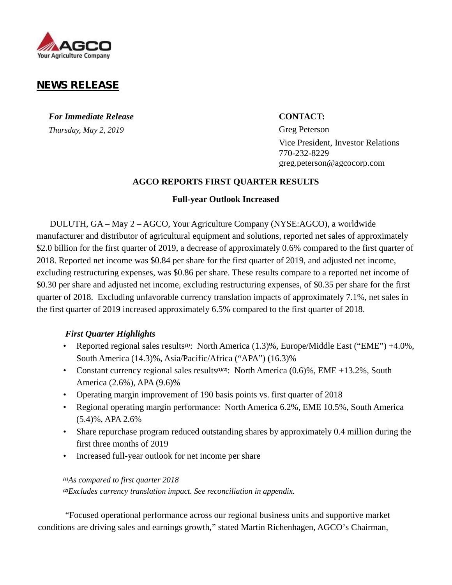

# **NEWS RELEASE**

*For Immediate Release* **CONTACT:** *Thursday, May 2, 2019* Greg Peterson

Vice President, Investor Relations 770-232-8229 greg.peterson@agcocorp.com

### **AGCO REPORTS FIRST QUARTER RESULTS**

### **Full-year Outlook Increased**

DULUTH, GA – May 2 – AGCO, Your Agriculture Company (NYSE:AGCO), a worldwide manufacturer and distributor of agricultural equipment and solutions, reported net sales of approximately \$2.0 billion for the first quarter of 2019, a decrease of approximately 0.6% compared to the first quarter of 2018. Reported net income was \$0.84 per share for the first quarter of 2019, and adjusted net income, excluding restructuring expenses, was \$0.86 per share. These results compare to a reported net income of \$0.30 per share and adjusted net income, excluding restructuring expenses, of \$0.35 per share for the first quarter of 2018. Excluding unfavorable currency translation impacts of approximately 7.1%, net sales in the first quarter of 2019 increased approximately 6.5% compared to the first quarter of 2018.

# *First Quarter Highlights*

- Reported regional sales results*(1)*: North America (1.3)%, Europe/Middle East ("EME") +4.0%, South America (14.3)%, Asia/Pacific/Africa ("APA") (16.3)%
- Constant currency regional sales results*(1)(2***)**: North America (0.6)%, EME +13.2%, South America (2.6%), APA (9.6)%
- Operating margin improvement of 190 basis points vs. first quarter of 2018
- Regional operating margin performance: North America 6.2%, EME 10.5%, South America (5.4)%, APA 2.6%
- Share repurchase program reduced outstanding shares by approximately 0.4 million during the first three months of 2019
- Increased full-year outlook for net income per share

*(1)As compared to first quarter 2018 (2)Excludes currency translation impact. See reconciliation in appendix.*

"Focused operational performance across our regional business units and supportive market conditions are driving sales and earnings growth," stated Martin Richenhagen, AGCO's Chairman,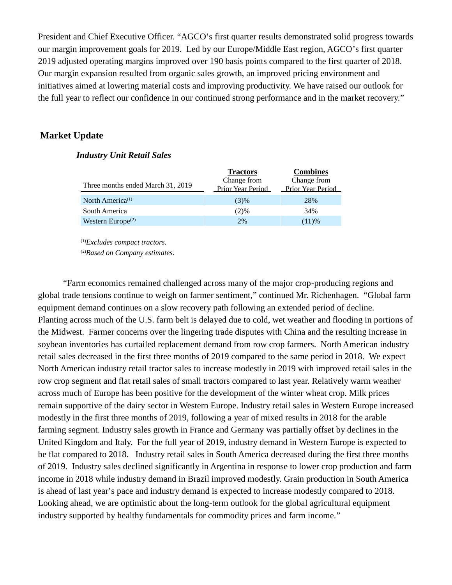President and Chief Executive Officer. "AGCO's first quarter results demonstrated solid progress towards our margin improvement goals for 2019. Led by our Europe/Middle East region, AGCO's first quarter 2019 adjusted operating margins improved over 190 basis points compared to the first quarter of 2018. Our margin expansion resulted from organic sales growth, an improved pricing environment and initiatives aimed at lowering material costs and improving productivity. We have raised our outlook for the full year to reflect our confidence in our continued strong performance and in the market recovery."

# **Market Update**

### *Industry Unit Retail Sales*

|                                            | <b>Tractors</b>          | <b>Combines</b>          |
|--------------------------------------------|--------------------------|--------------------------|
|                                            | Change from              | Change from              |
| Three months ended March 31, 2019          | <b>Prior Year Period</b> | <b>Prior Year Period</b> |
| North America <sup>(1)</sup>               | (3)%                     | 28%                      |
| South America                              | (2)%                     | 34%                      |
| Western Europe <sup><math>(2)</math></sup> | 2%                       | (11)%                    |

(1)*Excludes compact tractors.*

(2)*Based on Company estimates.*

"Farm economics remained challenged across many of the major crop-producing regions and global trade tensions continue to weigh on farmer sentiment," continued Mr. Richenhagen. "Global farm equipment demand continues on a slow recovery path following an extended period of decline. Planting across much of the U.S. farm belt is delayed due to cold, wet weather and flooding in portions of the Midwest. Farmer concerns over the lingering trade disputes with China and the resulting increase in soybean inventories has curtailed replacement demand from row crop farmers. North American industry retail sales decreased in the first three months of 2019 compared to the same period in 2018. We expect North American industry retail tractor sales to increase modestly in 2019 with improved retail sales in the row crop segment and flat retail sales of small tractors compared to last year. Relatively warm weather across much of Europe has been positive for the development of the winter wheat crop. Milk prices remain supportive of the dairy sector in Western Europe. Industry retail sales in Western Europe increased modestly in the first three months of 2019, following a year of mixed results in 2018 for the arable farming segment. Industry sales growth in France and Germany was partially offset by declines in the United Kingdom and Italy. For the full year of 2019, industry demand in Western Europe is expected to be flat compared to 2018. Industry retail sales in South America decreased during the first three months of 2019. Industry sales declined significantly in Argentina in response to lower crop production and farm income in 2018 while industry demand in Brazil improved modestly. Grain production in South America is ahead of last year's pace and industry demand is expected to increase modestly compared to 2018. Looking ahead, we are optimistic about the long-term outlook for the global agricultural equipment industry supported by healthy fundamentals for commodity prices and farm income."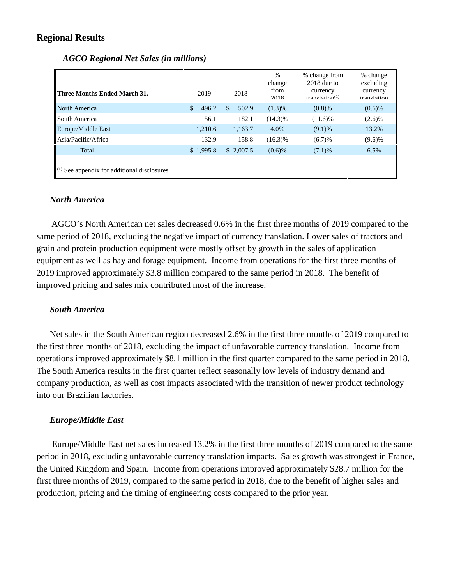# **Regional Results**

| Three Months Ended March 31,                  | 2019                  | 2018        | $\%$<br>change<br>from<br>2018 | % change from<br>$2018$ due to<br>currency<br>translation <sup>(1)</sup> | % change<br>excluding<br>currency<br>translation |
|-----------------------------------------------|-----------------------|-------------|--------------------------------|--------------------------------------------------------------------------|--------------------------------------------------|
| North America                                 | $\mathbb{S}$<br>496.2 | 502.9<br>\$ | (1.3)%                         | $(0.8)$ %                                                                | $(0.6)$ %                                        |
| South America                                 | 156.1                 | 182.1       | $(14.3)\%$                     | $(11.6)\%$                                                               | $(2.6)\%$                                        |
| Europe/Middle East                            | 1.210.6               | 1,163.7     | 4.0%                           | (9.1)%                                                                   | 13.2%                                            |
| Asia/Pacific/Africa                           | 132.9                 | 158.8       | $(16.3)\%$                     | (6.7)%                                                                   | $(9.6)\%$                                        |
| Total                                         | \$1,995.8             | \$2,007.5   | $(0.6)$ %                      | (7.1)%                                                                   | 6.5%                                             |
| $(1)$ See appendix for additional disclosures |                       |             |                                |                                                                          |                                                  |

# *AGCO Regional Net Sales (in millions)*

### *North America*

AGCO's North American net sales decreased 0.6% in the first three months of 2019 compared to the same period of 2018, excluding the negative impact of currency translation. Lower sales of tractors and grain and protein production equipment were mostly offset by growth in the sales of application equipment as well as hay and forage equipment. Income from operations for the first three months of 2019 improved approximately \$3.8 million compared to the same period in 2018. The benefit of improved pricing and sales mix contributed most of the increase.

# *South America*

Net sales in the South American region decreased 2.6% in the first three months of 2019 compared to the first three months of 2018, excluding the impact of unfavorable currency translation. Income from operations improved approximately \$8.1 million in the first quarter compared to the same period in 2018. The South America results in the first quarter reflect seasonally low levels of industry demand and company production, as well as cost impacts associated with the transition of newer product technology into our Brazilian factories.

# *Europe/Middle East*

Europe/Middle East net sales increased 13.2% in the first three months of 2019 compared to the same period in 2018, excluding unfavorable currency translation impacts. Sales growth was strongest in France, the United Kingdom and Spain. Income from operations improved approximately \$28.7 million for the first three months of 2019, compared to the same period in 2018, due to the benefit of higher sales and production, pricing and the timing of engineering costs compared to the prior year.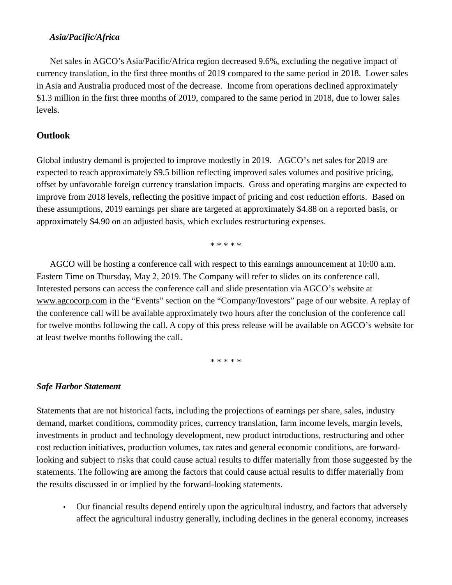# *Asia/Pacific/Africa*

Net sales in AGCO's Asia/Pacific/Africa region decreased 9.6%, excluding the negative impact of currency translation, in the first three months of 2019 compared to the same period in 2018. Lower sales in Asia and Australia produced most of the decrease. Income from operations declined approximately \$1.3 million in the first three months of 2019, compared to the same period in 2018, due to lower sales levels.

# **Outlook**

Global industry demand is projected to improve modestly in 2019. AGCO's net sales for 2019 are expected to reach approximately \$9.5 billion reflecting improved sales volumes and positive pricing, offset by unfavorable foreign currency translation impacts. Gross and operating margins are expected to improve from 2018 levels, reflecting the positive impact of pricing and cost reduction efforts. Based on these assumptions, 2019 earnings per share are targeted at approximately \$4.88 on a reported basis, or approximately \$4.90 on an adjusted basis, which excludes restructuring expenses.

\* \* \* \* \*

AGCO will be hosting a conference call with respect to this earnings announcement at 10:00 a.m. Eastern Time on Thursday, May 2, 2019. The Company will refer to slides on its conference call. Interested persons can access the conference call and slide presentation via AGCO's website at www.agcocorp.com in the"Events" section on the "Company/Investors" page of our website. A replay of the conference call will be available approximately two hours after the conclusion of the conference call for twelve months following the call. A copy of this press release will be available on AGCO's website for at least twelve months following the call.

\* \* \* \* \*

# *Safe Harbor Statement*

Statements that are not historical facts, including the projections of earnings per share, sales, industry demand, market conditions, commodity prices, currency translation, farm income levels, margin levels, investments in product and technology development, new product introductions, restructuring and other cost reduction initiatives, production volumes, tax rates and general economic conditions, are forwardlooking and subject to risks that could cause actual results to differ materially from those suggested by the statements. The following are among the factors that could cause actual results to differ materially from the results discussed in or implied by the forward-looking statements.

• Our financial results depend entirely upon the agricultural industry, and factors that adversely affect the agricultural industry generally, including declines in the general economy, increases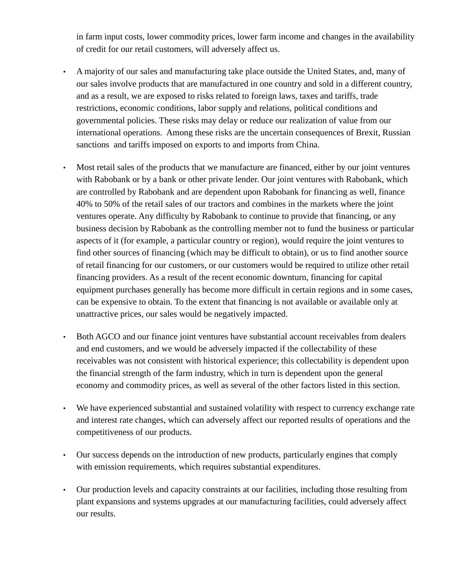in farm input costs, lower commodity prices, lower farm income and changes in the availability of credit for our retail customers, will adversely affect us.

- A majority of our sales and manufacturing take place outside the United States, and, many of our sales involve products that are manufactured in one country and sold in a different country, and as a result, we are exposed to risks related to foreign laws, taxes and tariffs, trade restrictions, economic conditions, labor supply and relations, political conditions and governmental policies. These risks may delay or reduce our realization of value from our international operations. Among these risks are the uncertain consequences of Brexit, Russian sanctions and tariffs imposed on exports to and imports from China.
- Most retail sales of the products that we manufacture are financed, either by our joint ventures with Rabobank or by a bank or other private lender. Our joint ventures with Rabobank, which are controlled by Rabobank and are dependent upon Rabobank for financing as well, finance 40% to 50% of the retail sales of our tractors and combines in the markets where the joint ventures operate. Any difficulty by Rabobank to continue to provide that financing, or any business decision by Rabobank as the controlling member not to fund the business or particular aspects of it (for example, a particular country or region), would require the joint ventures to find other sources of financing (which may be difficult to obtain), or us to find another source of retail financing for our customers, or our customers would be required to utilize other retail financing providers. As a result of the recent economic downturn, financing for capital equipment purchases generally has become more difficult in certain regions and in some cases, can be expensive to obtain. To the extent that financing is not available or available only at unattractive prices, our sales would be negatively impacted.
- Both AGCO and our finance joint ventures have substantial account receivables from dealers and end customers, and we would be adversely impacted if the collectability of these receivables was not consistent with historical experience; this collectability is dependent upon the financial strength of the farm industry, which in turn is dependent upon the general economy and commodity prices, as well as several of the other factors listed in this section.
- We have experienced substantial and sustained volatility with respect to currency exchange rate and interest rate changes, which can adversely affect our reported results of operations and the competitiveness of our products.
- Our success depends on the introduction of new products, particularly engines that comply with emission requirements, which requires substantial expenditures.
- Our production levels and capacity constraints at our facilities, including those resulting from plant expansions and systems upgrades at our manufacturing facilities, could adversely affect our results.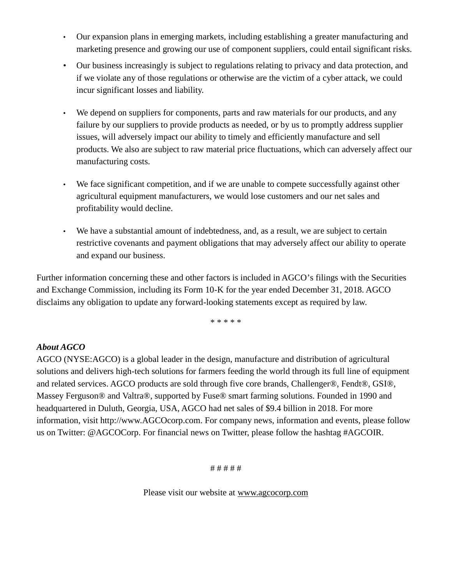- Our expansion plans in emerging markets, including establishing a greater manufacturing and marketing presence and growing our use of component suppliers, could entail significant risks.
- Our business increasingly is subject to regulations relating to privacy and data protection, and if we violate any of those regulations or otherwise are the victim of a cyber attack, we could incur significant losses and liability.
- We depend on suppliers for components, parts and raw materials for our products, and any failure by our suppliers to provide products as needed, or by us to promptly address supplier issues, will adversely impact our ability to timely and efficiently manufacture and sell products. We also are subject to raw material price fluctuations, which can adversely affect our manufacturing costs.
- We face significant competition, and if we are unable to compete successfully against other agricultural equipment manufacturers, we would lose customers and our net sales and profitability would decline.
- We have a substantial amount of indebtedness, and, as a result, we are subject to certain restrictive covenants and payment obligations that may adversely affect our ability to operate and expand our business.

Further information concerning these and other factors is included in AGCO's filings with the Securities and Exchange Commission, including its Form 10-K for the year ended December 31, 2018. AGCO disclaims any obligation to update any forward-looking statements except as required by law.

\* \* \* \* \*

# *About AGCO*

AGCO (NYSE:AGCO) is a global leader in the design, manufacture and distribution of agricultural solutions and delivers high-tech solutions for farmers feeding the world through its full line of equipment and related services. AGCO products are sold through five core brands, Challenger®, Fendt®, GSI®, Massey Ferguson® and Valtra®, supported by Fuse® smart farming solutions. Founded in 1990 and headquartered in Duluth, Georgia, USA, AGCO had net sales of \$9.4 billion in 2018. For more information, visit http://www.AGCOcorp.com. For company news, information and events, please follow us on Twitter: @AGCOCorp. For financial news on Twitter, please follow the hashtag #AGCOIR.

# # # # #

Please visit our website at www.agcocorp.com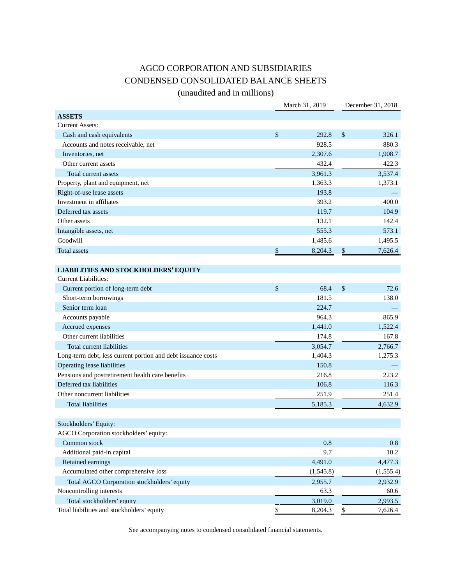# AGCO CORPORATION AND SUBSIDIARIES CONDENSED CONSOLIDATED BALANCE SHEETS

(unaudited and in millions)

|                                                              | March 31, 2019 | December 31, 2018 |
|--------------------------------------------------------------|----------------|-------------------|
| <b>ASSETS</b>                                                |                |                   |
| <b>Current Assets:</b>                                       |                |                   |
| Cash and cash equivalents                                    | \$<br>292.8    | \$<br>326.1       |
| Accounts and notes receivable, net                           | 928.5          | 880.3             |
| Inventories, net                                             | 2,307.6        | 1,908.7           |
| Other current assets                                         | 432.4          | 422.3             |
| Total current assets                                         | 3,961.3        | 3,537.4           |
| Property, plant and equipment, net                           | 1,363.3        | 1,373.1           |
| Right-of-use lease assets                                    | 193.8          |                   |
| Investment in affiliates                                     | 393.2          | 400.0             |
| Deferred tax assets                                          | 119.7          | 104.9             |
| Other assets                                                 | 132.1          | 142.4             |
| Intangible assets, net                                       | 555.3          | 573.1             |
| Goodwill                                                     | 1,485.6        | 1,495.5           |
| <b>Total assets</b>                                          | \$<br>8,204.3  | \$<br>7,626.4     |
| <b>LIABILITIES AND STOCKHOLDERS' EQUITY</b>                  |                |                   |
| <b>Current Liabilities:</b>                                  |                |                   |
| Current portion of long-term debt                            | \$<br>68.4     | \$<br>72.6        |
| Short-term borrowings                                        | 181.5          | 138.0             |
| Senior term loan                                             | 224.7          |                   |
| Accounts payable                                             | 964.3          | 865.9             |
| Accrued expenses                                             | 1,441.0        | 1,522.4           |
| Other current liabilities                                    | 174.8          | 167.8             |
| Total current liabilities                                    | 3,054.7        | 2,766.7           |
| Long-term debt, less current portion and debt issuance costs | 1,404.3        | 1,275.3           |
| Operating lease liabilities                                  | 150.8          |                   |
| Pensions and postretirement health care benefits             | 216.8          | 223.2             |
| Deferred tax liabilities                                     | 106.8          | 116.3             |
| Other noncurrent liabilities                                 | 251.9          | 251.4             |
| Total liabilities                                            | 5,185.3        | 4,632.9           |
|                                                              |                |                   |
| Stockholders' Equity:                                        |                |                   |
| AGCO Corporation stockholders' equity:                       |                |                   |
| Common stock                                                 | 0.8            | 0.8               |
| Additional paid-in capital                                   | 9.7            | 10.2              |
| Retained earnings                                            | 4,491.0        | 4,477.3           |
| Accumulated other comprehensive loss                         | (1, 545.8)     | (1, 555.4)        |
| Total AGCO Corporation stockholders' equity                  | 2,955.7        | 2,932.9           |
| Noncontrolling interests                                     | 63.3           | 60.6              |
| Total stockholders' equity                                   | 3,019.0        | 2,993.5           |
| Total liabilities and stockholders' equity                   | \$<br>8,204.3  | \$<br>7,626.4     |

See accompanying notes to condensed consolidated financial statements.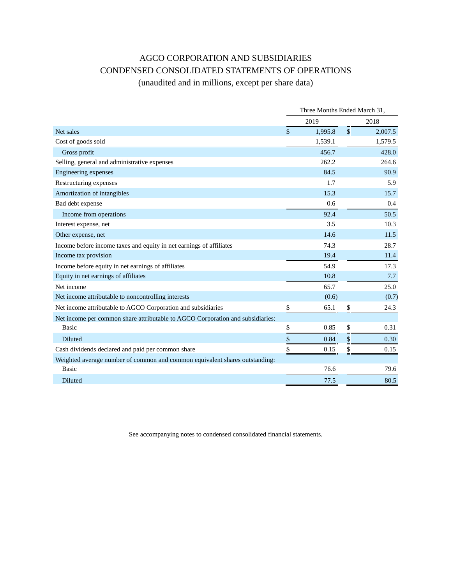# AGCO CORPORATION AND SUBSIDIARIES CONDENSED CONSOLIDATED STATEMENTS OF OPERATIONS

# (unaudited and in millions, except per share data)

|                                                                                | Three Months Ended March 31, |         |               |         |  |  |  |
|--------------------------------------------------------------------------------|------------------------------|---------|---------------|---------|--|--|--|
|                                                                                |                              | 2019    | 2018          |         |  |  |  |
| Net sales                                                                      | $\mathbb{S}$                 | 1,995.8 | $\mathcal{S}$ | 2,007.5 |  |  |  |
| Cost of goods sold                                                             |                              | 1,539.1 |               | 1,579.5 |  |  |  |
| Gross profit                                                                   |                              | 456.7   |               | 428.0   |  |  |  |
| Selling, general and administrative expenses                                   |                              | 262.2   |               | 264.6   |  |  |  |
| Engineering expenses                                                           |                              | 84.5    |               | 90.9    |  |  |  |
| Restructuring expenses                                                         |                              | 1.7     |               | 5.9     |  |  |  |
| Amortization of intangibles                                                    |                              | 15.3    |               | 15.7    |  |  |  |
| Bad debt expense                                                               |                              | 0.6     |               | 0.4     |  |  |  |
| Income from operations                                                         |                              | 92.4    |               | 50.5    |  |  |  |
| Interest expense, net                                                          |                              | 3.5     |               | 10.3    |  |  |  |
| Other expense, net                                                             |                              | 14.6    |               | 11.5    |  |  |  |
| Income before income taxes and equity in net earnings of affiliates            |                              | 74.3    |               | 28.7    |  |  |  |
| Income tax provision                                                           |                              | 19.4    |               | 11.4    |  |  |  |
| Income before equity in net earnings of affiliates                             |                              | 54.9    |               | 17.3    |  |  |  |
| Equity in net earnings of affiliates                                           |                              | 10.8    |               | 7.7     |  |  |  |
| Net income                                                                     |                              | 65.7    |               | 25.0    |  |  |  |
| Net income attributable to noncontrolling interests                            |                              | (0.6)   |               | (0.7)   |  |  |  |
| Net income attributable to AGCO Corporation and subsidiaries                   | \$                           | 65.1    | \$            | 24.3    |  |  |  |
| Net income per common share attributable to AGCO Corporation and subsidiaries: |                              |         |               |         |  |  |  |
| Basic                                                                          | \$                           | 0.85    | \$            | 0.31    |  |  |  |
| <b>Diluted</b>                                                                 | \$                           | 0.84    | \$            | 0.30    |  |  |  |
| Cash dividends declared and paid per common share                              | \$                           | 0.15    | \$            | 0.15    |  |  |  |
| Weighted average number of common and common equivalent shares outstanding:    |                              |         |               |         |  |  |  |
| <b>Basic</b>                                                                   |                              | 76.6    |               | 79.6    |  |  |  |
| Diluted                                                                        |                              | 77.5    |               | 80.5    |  |  |  |

See accompanying notes to condensed consolidated financial statements.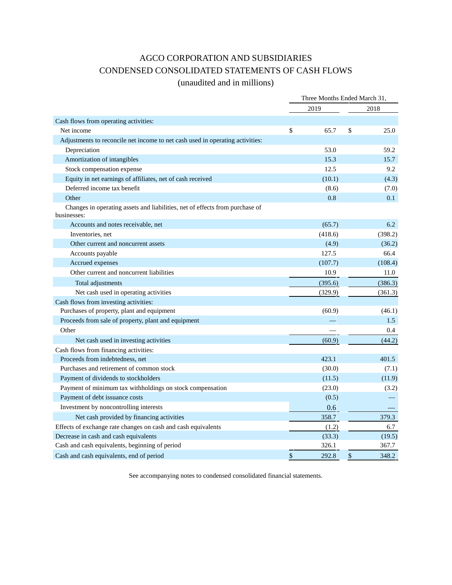# AGCO CORPORATION AND SUBSIDIARIES CONDENSED CONSOLIDATED STATEMENTS OF CASH FLOWS

# (unaudited and in millions)

|                                                                                             | Three Months Ended March 31, |         |      |         |  |
|---------------------------------------------------------------------------------------------|------------------------------|---------|------|---------|--|
|                                                                                             |                              | 2019    | 2018 |         |  |
| Cash flows from operating activities:                                                       |                              |         |      |         |  |
| Net income                                                                                  | \$                           | 65.7    | \$   | 25.0    |  |
| Adjustments to reconcile net income to net cash used in operating activities:               |                              |         |      |         |  |
| Depreciation                                                                                |                              | 53.0    |      | 59.2    |  |
| Amortization of intangibles                                                                 |                              | 15.3    |      | 15.7    |  |
| Stock compensation expense                                                                  |                              | 12.5    |      | 9.2     |  |
| Equity in net earnings of affiliates, net of cash received                                  |                              | (10.1)  |      | (4.3)   |  |
| Deferred income tax benefit                                                                 |                              | (8.6)   |      | (7.0)   |  |
| Other                                                                                       |                              | 0.8     |      | 0.1     |  |
| Changes in operating assets and liabilities, net of effects from purchase of<br>businesses: |                              |         |      |         |  |
| Accounts and notes receivable, net                                                          |                              | (65.7)  |      | 6.2     |  |
| Inventories, net                                                                            |                              | (418.6) |      | (398.2) |  |
| Other current and noncurrent assets                                                         |                              | (4.9)   |      | (36.2)  |  |
| Accounts payable                                                                            |                              | 127.5   |      | 66.4    |  |
| Accrued expenses                                                                            |                              | (107.7) |      | (108.4) |  |
| Other current and noncurrent liabilities                                                    |                              | 10.9    |      | 11.0    |  |
| Total adjustments                                                                           |                              | (395.6) |      | (386.3) |  |
| Net cash used in operating activities                                                       |                              | (329.9) |      | (361.3) |  |
| Cash flows from investing activities:                                                       |                              |         |      |         |  |
| Purchases of property, plant and equipment                                                  |                              | (60.9)  |      | (46.1)  |  |
| Proceeds from sale of property, plant and equipment                                         |                              |         |      | 1.5     |  |
| Other                                                                                       |                              |         |      | 0.4     |  |
| Net cash used in investing activities                                                       |                              | (60.9)  |      | (44.2)  |  |
| Cash flows from financing activities:                                                       |                              |         |      |         |  |
| Proceeds from indebtedness, net                                                             |                              | 423.1   |      | 401.5   |  |
| Purchases and retirement of common stock                                                    |                              | (30.0)  |      | (7.1)   |  |
| Payment of dividends to stockholders                                                        |                              | (11.5)  |      | (11.9)  |  |
| Payment of minimum tax withholdings on stock compensation                                   |                              | (23.0)  |      | (3.2)   |  |
| Payment of debt issuance costs                                                              |                              | (0.5)   |      |         |  |
| Investment by noncontrolling interests                                                      |                              | 0.6     |      |         |  |
| Net cash provided by financing activities                                                   |                              | 358.7   |      | 379.3   |  |
| Effects of exchange rate changes on cash and cash equivalents                               |                              | (1.2)   |      | 6.7     |  |
| Decrease in cash and cash equivalents                                                       |                              | (33.3)  |      | (19.5)  |  |
| Cash and cash equivalents, beginning of period                                              |                              | 326.1   |      | 367.7   |  |
| Cash and cash equivalents, end of period                                                    | \$                           | 292.8   | \$   | 348.2   |  |

See accompanying notes to condensed consolidated financial statements.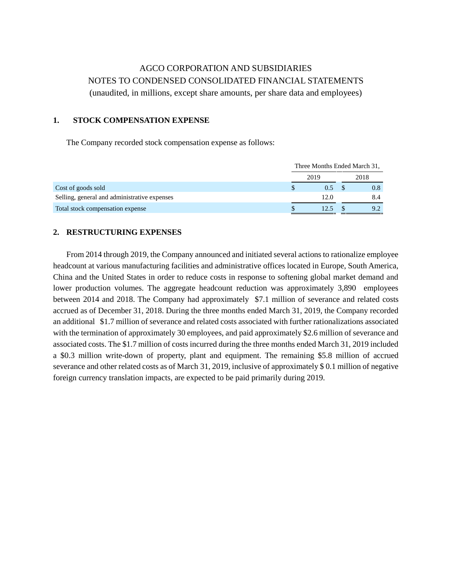# AGCO CORPORATION AND SUBSIDIARIES NOTES TO CONDENSED CONSOLIDATED FINANCIAL STATEMENTS (unaudited, in millions, except share amounts, per share data and employees)

### **1. STOCK COMPENSATION EXPENSE**

The Company recorded stock compensation expense as follows:

|                                              | Three Months Ended March 31, |      |
|----------------------------------------------|------------------------------|------|
|                                              | 2019                         | 2018 |
| Cost of goods sold                           | 0.5                          | 0.8  |
| Selling, general and administrative expenses | 12.0                         | 8.4  |
| Total stock compensation expense             | 12.5                         | 9.2  |

### **2. RESTRUCTURING EXPENSES**

From 2014 through 2019, the Company announced and initiated several actions to rationalize employee headcount at various manufacturing facilities and administrative offices located in Europe, South America, China and the United States in order to reduce costs in response to softening global market demand and lower production volumes. The aggregate headcount reduction was approximately 3,890 employees between 2014 and 2018. The Company had approximately \$7.1 million of severance and related costs accrued as of December 31, 2018. During the three months ended March 31, 2019, the Company recorded an additional \$1.7 million of severance and related costs associated with further rationalizations associated with the termination of approximately 30 employees, and paid approximately \$2.6 million of severance and associated costs. The \$1.7 million of costs incurred during the three months ended March 31, 2019 included a \$0.3 million write-down of property, plant and equipment. The remaining \$5.8 million of accrued severance and other related costs as of March 31, 2019, inclusive of approximately \$ 0.1 million of negative foreign currency translation impacts, are expected to be paid primarily during 2019.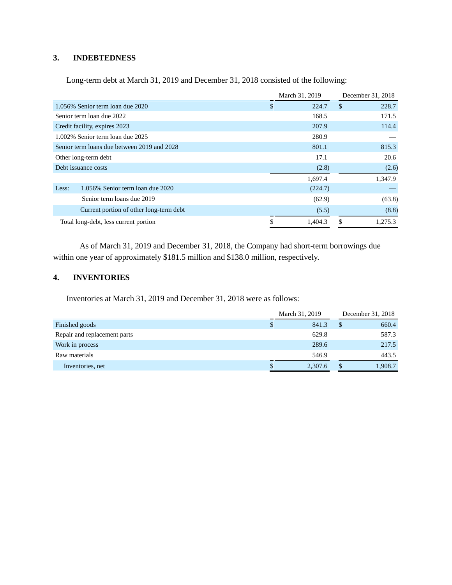### **3. INDEBTEDNESS**

Long-term debt at March 31, 2019 and December 31, 2018 consisted of the following:

|                                             |     | March 31, 2019 |               | December 31, 2018 |
|---------------------------------------------|-----|----------------|---------------|-------------------|
| 1.056% Senior term loan due 2020            | \$. | 224.7          | <sup>\$</sup> | 228.7             |
| Senior term loan due 2022                   |     | 168.5          |               | 171.5             |
| Credit facility, expires 2023               |     | 207.9          |               | 114.4             |
| 1.002% Senior term loan due 2025            |     | 280.9          |               |                   |
| Senior term loans due between 2019 and 2028 |     | 801.1          |               | 815.3             |
| Other long-term debt                        |     | 17.1           |               | 20.6              |
| Debt issuance costs                         |     | (2.8)          |               | (2.6)             |
|                                             |     | 1,697.4        |               | 1,347.9           |
| 1.056% Senior term loan due 2020<br>Less:   |     | (224.7)        |               |                   |
| Senior term loans due 2019                  |     | (62.9)         |               | (63.8)            |
| Current portion of other long-term debt     |     | (5.5)          |               | (8.8)             |
| Total long-debt, less current portion       | \$  | 1,404.3        | S             | 1.275.3           |

As of March 31, 2019 and December 31, 2018, the Company had short-term borrowings due within one year of approximately \$181.5 million and \$138.0 million, respectively.

# **4. INVENTORIES**

Inventories at March 31, 2019 and December 31, 2018 were as follows:

|                              | March 31, 2019 | December 31, 2018 |         |  |
|------------------------------|----------------|-------------------|---------|--|
| Finished goods               | \$<br>841.3    |                   | 660.4   |  |
| Repair and replacement parts | 629.8          |                   | 587.3   |  |
| Work in process              | 289.6          |                   | 217.5   |  |
| Raw materials                | 546.9          |                   | 443.5   |  |
| Inventories, net             | \$<br>2,307.6  |                   | 1,908.7 |  |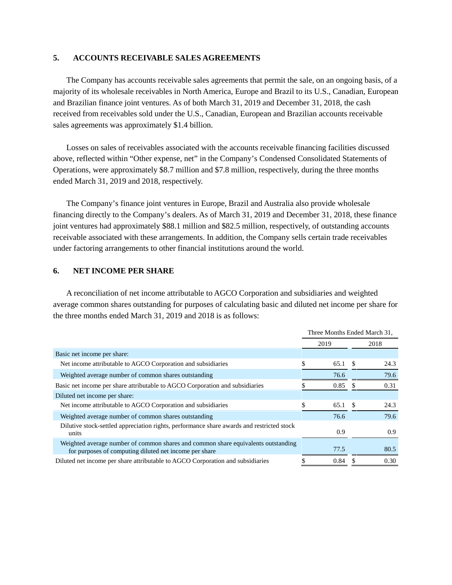#### **5. ACCOUNTS RECEIVABLE SALES AGREEMENTS**

The Company has accounts receivable sales agreements that permit the sale, on an ongoing basis, of a majority of its wholesale receivables in North America, Europe and Brazil to its U.S., Canadian, European and Brazilian finance joint ventures. As of both March 31, 2019 and December 31, 2018, the cash received from receivables sold under the U.S., Canadian, European and Brazilian accounts receivable sales agreements was approximately \$1.4 billion.

Losses on sales of receivables associated with the accounts receivable financing facilities discussed above, reflected within "Other expense, net" in the Company's Condensed Consolidated Statements of Operations, were approximately \$8.7 million and \$7.8 million, respectively, during the three months ended March 31, 2019 and 2018, respectively.

The Company's finance joint ventures in Europe, Brazil and Australia also provide wholesale financing directly to the Company's dealers. As of March 31, 2019 and December 31, 2018, these finance joint ventures had approximately \$88.1 million and \$82.5 million, respectively, of outstanding accounts receivable associated with these arrangements. In addition, the Company sells certain trade receivables under factoring arrangements to other financial institutions around the world.

#### **6. NET INCOME PER SHARE**

A reconciliation of net income attributable to AGCO Corporation and subsidiaries and weighted average common shares outstanding for purposes of calculating basic and diluted net income per share for the three months ended March 31, 2019 and 2018 is as follows:

|                                                                                                                                             | Three Months Ended March 31, |      |      |      |  |  |
|---------------------------------------------------------------------------------------------------------------------------------------------|------------------------------|------|------|------|--|--|
|                                                                                                                                             |                              | 2019 | 2018 |      |  |  |
| Basic net income per share:                                                                                                                 |                              |      |      |      |  |  |
| Net income attributable to AGCO Corporation and subsidiaries                                                                                |                              | 65.1 |      | 24.3 |  |  |
| Weighted average number of common shares outstanding                                                                                        |                              | 76.6 |      | 79.6 |  |  |
| Basic net income per share attributable to AGCO Corporation and subsidiaries                                                                |                              | 0.85 |      | 0.31 |  |  |
| Diluted net income per share:                                                                                                               |                              |      |      |      |  |  |
| Net income attributable to AGCO Corporation and subsidiaries                                                                                |                              | 65.1 | \$.  | 24.3 |  |  |
| Weighted average number of common shares outstanding                                                                                        |                              | 76.6 |      | 79.6 |  |  |
| Dilutive stock-settled appreciation rights, performance share awards and restricted stock<br>units                                          |                              | 0.9  |      | 0.9  |  |  |
| Weighted average number of common shares and common share equivalents outstanding<br>for purposes of computing diluted net income per share |                              | 77.5 |      | 80.5 |  |  |
| Diluted net income per share attributable to AGCO Corporation and subsidiaries                                                              |                              | 0.84 |      | 0.30 |  |  |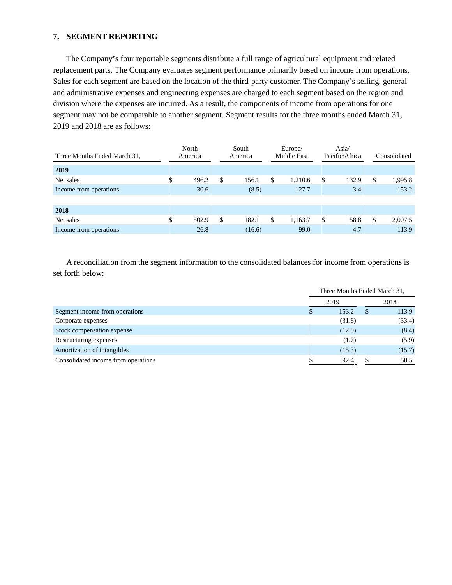# **7. SEGMENT REPORTING**

The Company's four reportable segments distribute a full range of agricultural equipment and related replacement parts. The Company evaluates segment performance primarily based on income from operations. Sales for each segment are based on the location of the third-party customer. The Company's selling, general and administrative expenses and engineering expenses are charged to each segment based on the region and division where the expenses are incurred. As a result, the components of income from operations for one segment may not be comparable to another segment. Segment results for the three months ended March 31, 2019 and 2018 are as follows:

| Three Months Ended March 31, |    | North<br>America |   | South<br>America |    | Europe/<br>Middle East |   | Asia/<br>Pacific/Africa |    | Consolidated |
|------------------------------|----|------------------|---|------------------|----|------------------------|---|-------------------------|----|--------------|
| 2019                         |    |                  |   |                  |    |                        |   |                         |    |              |
| Net sales                    | \$ | 496.2            | S | 156.1            | S  | 1.210.6                | S | 132.9                   | \$ | 1,995.8      |
| Income from operations       |    | 30.6             |   | (8.5)            |    | 127.7                  |   | 3.4                     |    | 153.2        |
|                              |    |                  |   |                  |    |                        |   |                         |    |              |
| 2018                         |    |                  |   |                  |    |                        |   |                         |    |              |
| Net sales                    | \$ | 502.9            | S | 182.1            | \$ | 1,163.7                | S | 158.8                   | \$ | 2,007.5      |
| Income from operations       |    | 26.8             |   | (16.6)           |    | 99.0                   |   | 4.7                     |    | 113.9        |

A reconciliation from the segment information to the consolidated balances for income from operations is set forth below:

|                                     | Three Months Ended March 31, |        |    |        |  |  |  |
|-------------------------------------|------------------------------|--------|----|--------|--|--|--|
|                                     | 2019                         |        |    |        |  |  |  |
| Segment income from operations      | \$                           | 153.2  | S. | 113.9  |  |  |  |
| Corporate expenses                  |                              | (31.8) |    | (33.4) |  |  |  |
| Stock compensation expense          |                              | (12.0) |    | (8.4)  |  |  |  |
| Restructuring expenses              |                              | (1.7)  |    | (5.9)  |  |  |  |
| Amortization of intangibles         |                              | (15.3) |    | (15.7) |  |  |  |
| Consolidated income from operations |                              | 92.4   |    | 50.5   |  |  |  |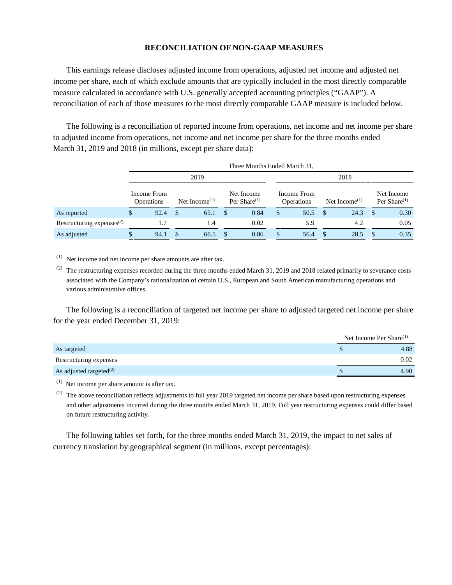#### **RECONCILIATION OF NON-GAAP MEASURES**

This earnings release discloses adjusted income from operations, adjusted net income and adjusted net income per share, each of which exclude amounts that are typically included in the most directly comparable measure calculated in accordance with U.S. generally accepted accounting principles ("GAAP"). A reconciliation of each of those measures to the most directly comparable GAAP measure is included below.

The following is a reconciliation of reported income from operations, net income and net income per share to adjusted income from operations, net income and net income per share for the three months ended March 31, 2019 and 2018 (in millions, except per share data):

|                                 | THE PRODUCE ENGLISHED 1, |                                  |     |                                        |               |                               |                                  |      |  |                                        |  |                               |  |
|---------------------------------|--------------------------|----------------------------------|-----|----------------------------------------|---------------|-------------------------------|----------------------------------|------|--|----------------------------------------|--|-------------------------------|--|
|                                 | 2019                     |                                  |     |                                        |               |                               |                                  |      |  |                                        |  |                               |  |
|                                 |                          | Income From<br><b>Operations</b> |     | Net Income <sup><math>(1)</math></sup> |               | Net Income<br>Per Share $(1)$ | Income From<br><b>Operations</b> |      |  | Net Income <sup><math>(1)</math></sup> |  | Net Income<br>Per Share $(1)$ |  |
| As reported                     |                          | 92.4                             | -\$ | 65.1                                   | <sup>\$</sup> | 0.84                          | $\mathbb{S}$                     | 50.5 |  | 24.3                                   |  | 0.30                          |  |
| Restructuring expenses $^{(2)}$ |                          |                                  |     | 1.4                                    |               | 0.02                          |                                  | 5.9  |  | 4.2                                    |  | 0.05                          |  |
| As adjusted                     | $\mathbb{S}$             | 94.1                             | \$  | 66.5                                   | <b>S</b>      | 0.86                          | \$                               | 56.4 |  | 28.5                                   |  | 0.35                          |  |

Three Months Ended March 31,

 $(1)$  Net income and net income per share amounts are after tax.

(2) The restructuring expenses recorded during the three months ended March 31, 2019 and 2018 related primarily to severance costs associated with the Company's rationalization of certain U.S., European and South American manufacturing operations and various administrative offices.

The following is a reconciliation of targeted net income per share to adjusted targeted net income per share for the year ended December 31, 2019:

|                               | Net Income Per Share $^{(1)}$ |
|-------------------------------|-------------------------------|
| As targeted                   | 4.88                          |
| Restructuring expenses        | 0.02                          |
| As adjusted targeted $^{(2)}$ | 4.90                          |

 $(1)$  Net income per share amount is after tax.

<sup>(2)</sup> The above reconciliation reflects adjustments to full year 2019 targeted net income per share based upon restructuring expenses and other adjustments incurred during the three months ended March 31, 2019. Full year restructuring expenses could differ based on future restructuring activity.

The following tables set forth, for the three months ended March 31, 2019, the impact to net sales of currency translation by geographical segment (in millions, except percentages):